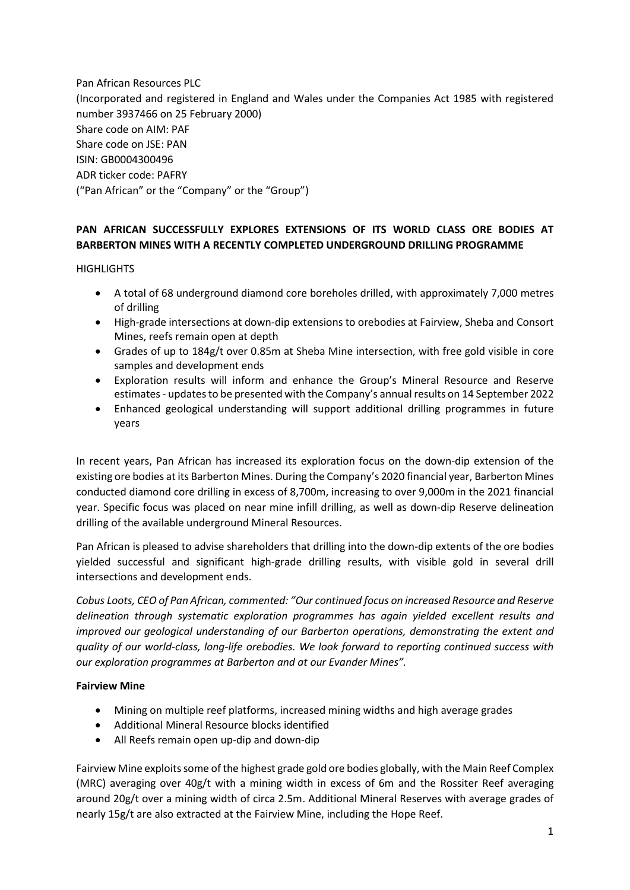Pan African Resources PLC (Incorporated and registered in England and Wales under the Companies Act 1985 with registered number 3937466 on 25 February 2000) Share code on AIM: PAF Share code on JSE: PAN ISIN: GB0004300496 ADR ticker code: PAFRY ("Pan African" or the "Company" or the "Group")

## **PAN AFRICAN SUCCESSFULLY EXPLORES EXTENSIONS OF ITS WORLD CLASS ORE BODIES AT BARBERTON MINES WITH A RECENTLY COMPLETED UNDERGROUND DRILLING PROGRAMME**

**HIGHLIGHTS** 

- A total of 68 underground diamond core boreholes drilled, with approximately 7,000 metres of drilling
- High-grade intersections at down-dip extensions to orebodies at Fairview, Sheba and Consort Mines, reefs remain open at depth
- Grades of up to 184g/t over 0.85m at Sheba Mine intersection, with free gold visible in core samples and development ends
- Exploration results will inform and enhance the Group's Mineral Resource and Reserve estimates- updates to be presented with the Company's annual results on 14 September 2022
- Enhanced geological understanding will support additional drilling programmes in future years

In recent years, Pan African has increased its exploration focus on the down-dip extension of the existing ore bodies at its Barberton Mines. During the Company's 2020 financial year, Barberton Mines conducted diamond core drilling in excess of 8,700m, increasing to over 9,000m in the 2021 financial year. Specific focus was placed on near mine infill drilling, as well as down-dip Reserve delineation drilling of the available underground Mineral Resources.

Pan African is pleased to advise shareholders that drilling into the down-dip extents of the ore bodies yielded successful and significant high-grade drilling results, with visible gold in several drill intersections and development ends.

*Cobus Loots, CEO of Pan African, commented: "Our continued focus on increased Resource and Reserve delineation through systematic exploration programmes has again yielded excellent results and improved our geological understanding of our Barberton operations, demonstrating the extent and quality of our world-class, long-life orebodies. We look forward to reporting continued success with our exploration programmes at Barberton and at our Evander Mines".*

#### **Fairview Mine**

- Mining on multiple reef platforms, increased mining widths and high average grades
- Additional Mineral Resource blocks identified
- All Reefs remain open up-dip and down-dip

Fairview Mine exploits some of the highest grade gold ore bodies globally, with the Main Reef Complex (MRC) averaging over 40g/t with a mining width in excess of 6m and the Rossiter Reef averaging around 20g/t over a mining width of circa 2.5m. Additional Mineral Reserves with average grades of nearly 15g/t are also extracted at the Fairview Mine, including the Hope Reef.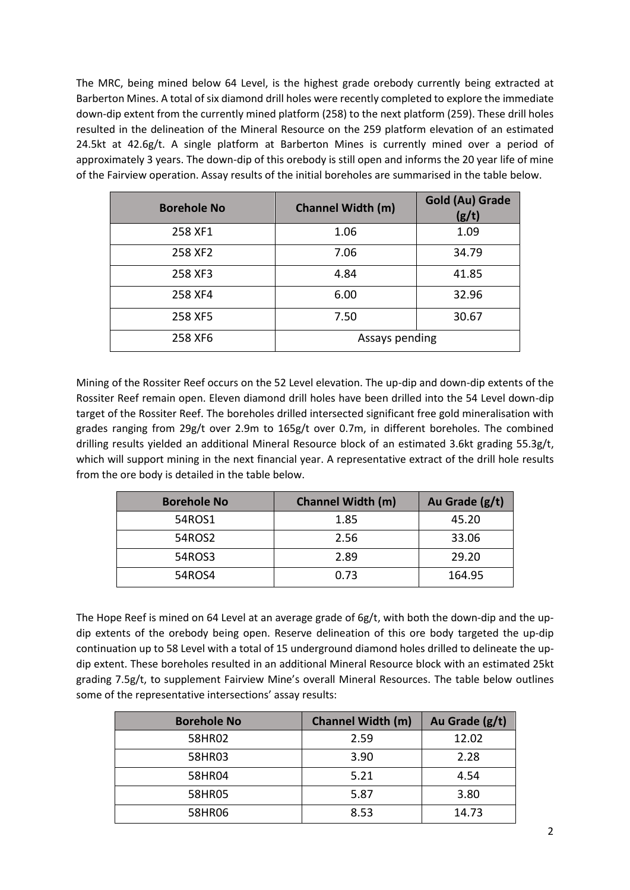The MRC, being mined below 64 Level, is the highest grade orebody currently being extracted at Barberton Mines. A total of six diamond drill holes were recently completed to explore the immediate down-dip extent from the currently mined platform (258) to the next platform (259). These drill holes resulted in the delineation of the Mineral Resource on the 259 platform elevation of an estimated 24.5kt at 42.6g/t. A single platform at Barberton Mines is currently mined over a period of approximately 3 years. The down-dip of this orebody is still open and informs the 20 year life of mine of the Fairview operation. Assay results of the initial boreholes are summarised in the table below.

| <b>Borehole No</b> | <b>Channel Width (m)</b> | <b>Gold (Au) Grade</b><br>(g/t) |
|--------------------|--------------------------|---------------------------------|
| 258 XF1            | 1.06                     | 1.09                            |
| 258 XF2            | 7.06                     | 34.79                           |
| 258 XF3            | 4.84                     | 41.85                           |
| 258 XF4            | 6.00                     | 32.96                           |
| 258 XF5            | 7.50                     | 30.67                           |
| 258 XF6            | Assays pending           |                                 |

Mining of the Rossiter Reef occurs on the 52 Level elevation. The up-dip and down-dip extents of the Rossiter Reef remain open. Eleven diamond drill holes have been drilled into the 54 Level down-dip target of the Rossiter Reef. The boreholes drilled intersected significant free gold mineralisation with grades ranging from 29g/t over 2.9m to 165g/t over 0.7m, in different boreholes. The combined drilling results yielded an additional Mineral Resource block of an estimated 3.6kt grading 55.3g/t, which will support mining in the next financial year. A representative extract of the drill hole results from the ore body is detailed in the table below.

| <b>Borehole No</b> | <b>Channel Width (m)</b> | Au Grade (g/t) |
|--------------------|--------------------------|----------------|
| 54ROS1             | 1.85                     | 45.20          |
| 54ROS2             | 2.56                     | 33.06          |
| 54ROS3             | 2.89                     | 29.20          |
| 54ROS4             | 0.73                     | 164.95         |

The Hope Reef is mined on 64 Level at an average grade of 6g/t, with both the down-dip and the updip extents of the orebody being open. Reserve delineation of this ore body targeted the up-dip continuation up to 58 Level with a total of 15 underground diamond holes drilled to delineate the updip extent. These boreholes resulted in an additional Mineral Resource block with an estimated 25kt grading 7.5g/t, to supplement Fairview Mine's overall Mineral Resources. The table below outlines some of the representative intersections' assay results:

| <b>Borehole No</b> | <b>Channel Width (m)</b> | Au Grade (g/t) |
|--------------------|--------------------------|----------------|
| 58HR02             | 2.59                     | 12.02          |
| 58HR03             | 3.90                     | 2.28           |
| 58HR04             | 5.21                     | 4.54           |
| 58HR05             | 5.87                     | 3.80           |
| 58HR06             | 8.53                     | 14.73          |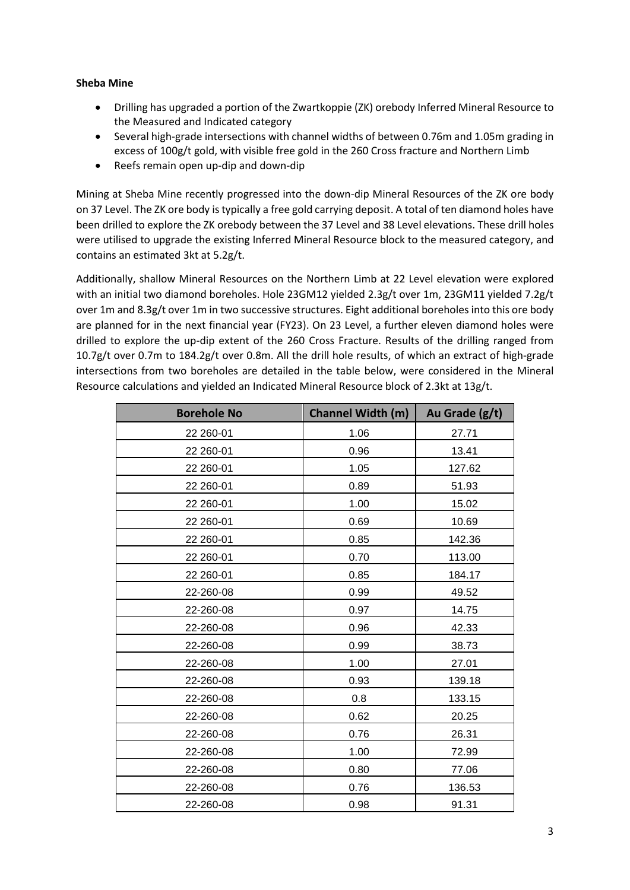### **Sheba Mine**

- Drilling has upgraded a portion of the Zwartkoppie (ZK) orebody Inferred Mineral Resource to the Measured and Indicated category
- Several high-grade intersections with channel widths of between 0.76m and 1.05m grading in excess of 100g/t gold, with visible free gold in the 260 Cross fracture and Northern Limb
- Reefs remain open up-dip and down-dip

Mining at Sheba Mine recently progressed into the down-dip Mineral Resources of the ZK ore body on 37 Level. The ZK ore body is typically a free gold carrying deposit. A total of ten diamond holes have been drilled to explore the ZK orebody between the 37 Level and 38 Level elevations. These drill holes were utilised to upgrade the existing Inferred Mineral Resource block to the measured category, and contains an estimated 3kt at 5.2g/t.

Additionally, shallow Mineral Resources on the Northern Limb at 22 Level elevation were explored with an initial two diamond boreholes. Hole 23GM12 yielded 2.3g/t over 1m, 23GM11 yielded 7.2g/t over 1m and 8.3g/t over 1m in two successive structures. Eight additional boreholes into this ore body are planned for in the next financial year (FY23). On 23 Level, a further eleven diamond holes were drilled to explore the up-dip extent of the 260 Cross Fracture. Results of the drilling ranged from 10.7g/t over 0.7m to 184.2g/t over 0.8m. All the drill hole results, of which an extract of high-grade intersections from two boreholes are detailed in the table below, were considered in the Mineral Resource calculations and yielded an Indicated Mineral Resource block of 2.3kt at 13g/t.

| <b>Borehole No</b> | <b>Channel Width (m)</b> | Au Grade (g/t) |
|--------------------|--------------------------|----------------|
| 22 260-01          | 1.06                     | 27.71          |
| 22 260-01          | 0.96                     | 13.41          |
| 22 260-01          | 1.05                     | 127.62         |
| 22 260-01          | 0.89                     | 51.93          |
| 22 260-01          | 1.00                     | 15.02          |
| 22 260-01          | 0.69                     | 10.69          |
| 22 260-01          | 0.85                     | 142.36         |
| 22 260-01          | 0.70                     | 113.00         |
| 22 260-01          | 0.85                     | 184.17         |
| 22-260-08          | 0.99                     | 49.52          |
| 22-260-08          | 0.97                     | 14.75          |
| 22-260-08          | 0.96                     | 42.33          |
| 22-260-08          | 0.99                     | 38.73          |
| 22-260-08          | 1.00                     | 27.01          |
| 22-260-08          | 0.93                     | 139.18         |
| 22-260-08          | 0.8                      | 133.15         |
| 22-260-08          | 0.62                     | 20.25          |
| 22-260-08          | 0.76                     | 26.31          |
| 22-260-08          | 1.00                     | 72.99          |
| 22-260-08          | 0.80                     | 77.06          |
| 22-260-08          | 0.76                     | 136.53         |
| 22-260-08          | 0.98                     | 91.31          |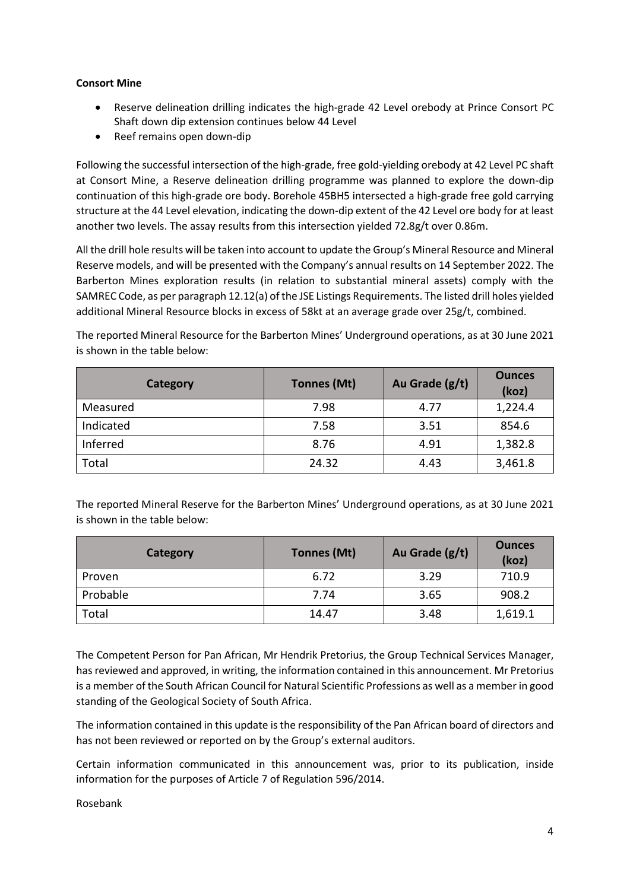### **Consort Mine**

- Reserve delineation drilling indicates the high-grade 42 Level orebody at Prince Consort PC Shaft down dip extension continues below 44 Level
- Reef remains open down-dip

Following the successful intersection of the high-grade, free gold-yielding orebody at 42 Level PC shaft at Consort Mine, a Reserve delineation drilling programme was planned to explore the down-dip continuation of this high-grade ore body. Borehole 45BH5 intersected a high-grade free gold carrying structure at the 44 Level elevation, indicating the down-dip extent of the 42 Level ore body for at least another two levels. The assay results from this intersection yielded 72.8g/t over 0.86m.

All the drill hole results will be taken into account to update the Group's Mineral Resource and Mineral Reserve models, and will be presented with the Company's annual results on 14 September 2022. The Barberton Mines exploration results (in relation to substantial mineral assets) comply with the SAMREC Code, as per paragraph 12.12(a) of the JSE Listings Requirements. The listed drill holes yielded additional Mineral Resource blocks in excess of 58kt at an average grade over 25g/t, combined.

The reported Mineral Resource for the Barberton Mines' Underground operations, as at 30 June 2021 is shown in the table below:

| Category  | Tonnes (Mt) | Au Grade (g/t) | <b>Ounces</b><br>(koz) |
|-----------|-------------|----------------|------------------------|
| Measured  | 7.98        | 4.77           | 1,224.4                |
| Indicated | 7.58        | 3.51           | 854.6                  |
| Inferred  | 8.76        | 4.91           | 1,382.8                |
| Total     | 24.32       | 4.43           | 3,461.8                |

The reported Mineral Reserve for the Barberton Mines' Underground operations, as at 30 June 2021 is shown in the table below:

| Category | Tonnes (Mt) | Au Grade (g/t) | <b>Ounces</b><br>(koz) |
|----------|-------------|----------------|------------------------|
| Proven   | 6.72        | 3.29           | 710.9                  |
| Probable | 7.74        | 3.65           | 908.2                  |
| Total    | 14.47       | 3.48           | 1,619.1                |

The Competent Person for Pan African, Mr Hendrik Pretorius, the Group Technical Services Manager, has reviewed and approved, in writing, the information contained in this announcement. Mr Pretorius is a member of the South African Council for Natural Scientific Professions as well as a member in good standing of the Geological Society of South Africa.

The information contained in this update is the responsibility of the Pan African board of directors and has not been reviewed or reported on by the Group's external auditors.

Certain information communicated in this announcement was, prior to its publication, inside information for the purposes of Article 7 of Regulation 596/2014.

Rosebank